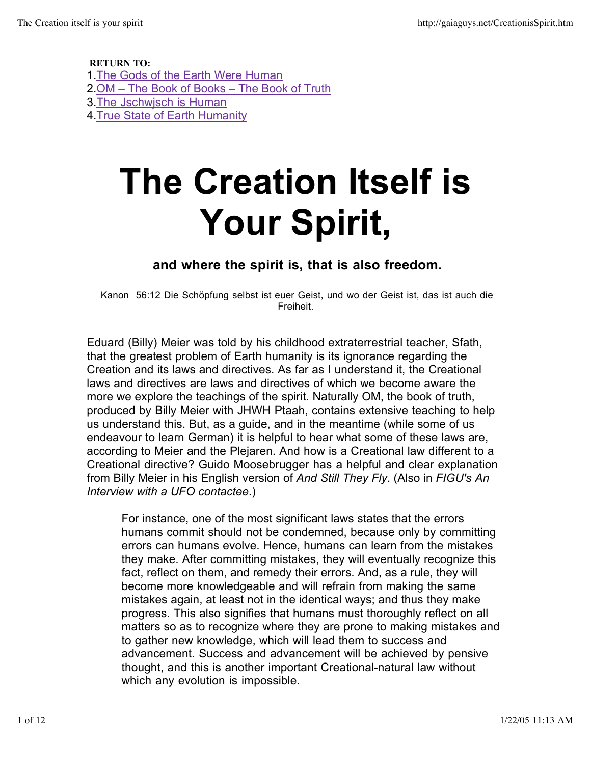RETURN TO: 1.The Gods of the Earth Were Human 2. OM - The Book of Books - The Book of Truth 3.The Jschwjsch is Human 4.True State of Earth Humanity

# **The Creation Itself is Your Spirit,**

#### **and where the spirit is, that is also freedom.**

Kanon 56:12 Die Schöpfung selbst ist euer Geist, und wo der Geist ist, das ist auch die Freiheit.

Eduard (Billy) Meier was told by his childhood extraterrestrial teacher, Sfath, that the greatest problem of Earth humanity is its ignorance regarding the Creation and its laws and directives. As far as I understand it, the Creational laws and directives are laws and directives of which we become aware the more we explore the teachings of the spirit. Naturally OM, the book of truth, produced by Billy Meier with JHWH Ptaah, contains extensive teaching to help us understand this. But, as a guide, and in the meantime (while some of us endeavour to learn German) it is helpful to hear what some of these laws are, according to Meier and the Plejaren. And how is a Creational law different to a Creational directive? Guido Moosebrugger has a helpful and clear explanation from Billy Meier in his English version of *And Still They Fly*. (Also in *FIGU's An Interview with a UFO contactee*.)

For instance, one of the most significant laws states that the errors humans commit should not be condemned, because only by committing errors can humans evolve. Hence, humans can learn from the mistakes they make. After committing mistakes, they will eventually recognize this fact, reflect on them, and remedy their errors. And, as a rule, they will become more knowledgeable and will refrain from making the same mistakes again, at least not in the identical ways; and thus they make progress. This also signifies that humans must thoroughly reflect on all matters so as to recognize where they are prone to making mistakes and to gather new knowledge, which will lead them to success and advancement. Success and advancement will be achieved by pensive thought, and this is another important Creational-natural law without which any evolution is impossible.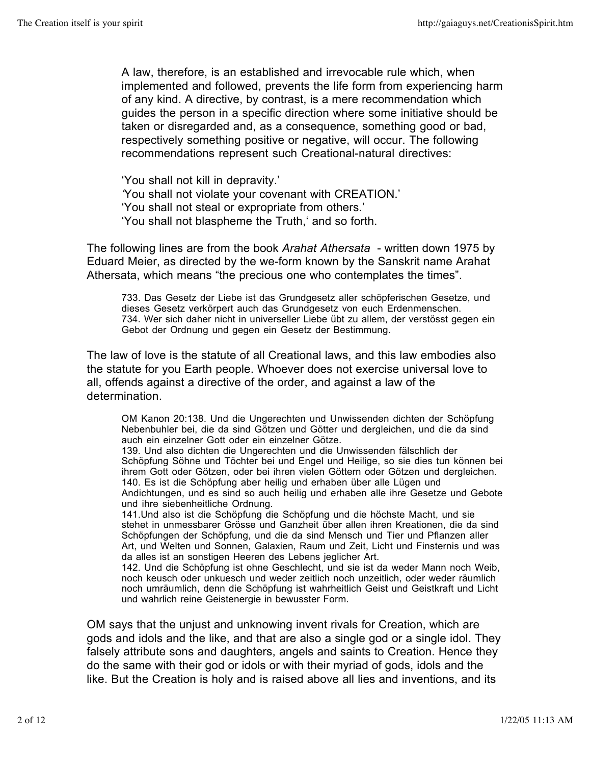A law, therefore, is an established and irrevocable rule which, when implemented and followed, prevents the life form from experiencing harm of any kind. A directive, by contrast, is a mere recommendation which guides the person in a specific direction where some initiative should be taken or disregarded and, as a consequence, something good or bad, respectively something positive or negative, will occur. The following recommendations represent such Creational-natural directives:

'You shall not kill in depravity.' *'*You shall not violate your covenant with CREATION.' 'You shall not steal or expropriate from others.' 'You shall not blaspheme the Truth,' and so forth.

The following lines are from the book *Arahat Athersata* - written down 1975 by Eduard Meier, as directed by the we-form known by the Sanskrit name Arahat Athersata, which means "the precious one who contemplates the times".

733. Das Gesetz der Liebe ist das Grundgesetz aller schöpferischen Gesetze, und dieses Gesetz verkörpert auch das Grundgesetz von euch Erdenmenschen. 734. Wer sich daher nicht in universeller Liebe übt zu allem, der verstösst gegen ein Gebot der Ordnung und gegen ein Gesetz der Bestimmung.

The law of love is the statute of all Creational laws, and this law embodies also the statute for you Earth people. Whoever does not exercise universal love to all, offends against a directive of the order, and against a law of the determination.

OM Kanon 20:138. Und die Ungerechten und Unwissenden dichten der Schöpfung Nebenbuhler bei, die da sind Götzen und Götter und dergleichen, und die da sind auch ein einzelner Gott oder ein einzelner Götze.

139. Und also dichten die Ungerechten und die Unwissenden fälschlich der Schöpfung Söhne und Töchter bei und Engel und Heilige, so sie dies tun können bei ihrem Gott oder Götzen, oder bei ihren vielen Göttern oder Götzen und dergleichen. 140. Es ist die Schöpfung aber heilig und erhaben über alle Lügen und

Andichtungen, und es sind so auch heilig und erhaben alle ihre Gesetze und Gebote und ihre siebenheitliche Ordnung.

141.Und also ist die Schöpfung die Schöpfung und die höchste Macht, und sie stehet in unmessbarer Grösse und Ganzheit über allen ihren Kreationen, die da sind Schöpfungen der Schöpfung, und die da sind Mensch und Tier und Pflanzen aller Art, und Welten und Sonnen, Galaxien, Raum und Zeit, Licht und Finsternis und was da alles ist an sonstigen Heeren des Lebens jeglicher Art.

142. Und die Schöpfung ist ohne Geschlecht, und sie ist da weder Mann noch Weib, noch keusch oder unkuesch und weder zeitlich noch unzeitlich, oder weder räumlich noch umräumlich, denn die Schöpfung ist wahrheitlich Geist und Geistkraft und Licht und wahrlich reine Geistenergie in bewusster Form.

OM says that the unjust and unknowing invent rivals for Creation, which are gods and idols and the like, and that are also a single god or a single idol. They falsely attribute sons and daughters, angels and saints to Creation. Hence they do the same with their god or idols or with their myriad of gods, idols and the like. But the Creation is holy and is raised above all lies and inventions, and its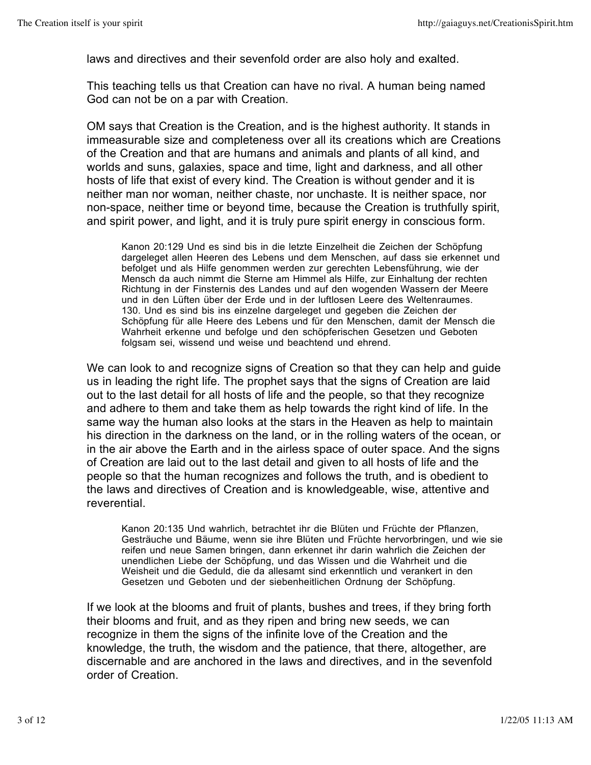laws and directives and their sevenfold order are also holy and exalted.

This teaching tells us that Creation can have no rival. A human being named God can not be on a par with Creation.

OM says that Creation is the Creation, and is the highest authority. It stands in immeasurable size and completeness over all its creations which are Creations of the Creation and that are humans and animals and plants of all kind, and worlds and suns, galaxies, space and time, light and darkness, and all other hosts of life that exist of every kind. The Creation is without gender and it is neither man nor woman, neither chaste, nor unchaste. It is neither space, nor non-space, neither time or beyond time, because the Creation is truthfully spirit, and spirit power, and light, and it is truly pure spirit energy in conscious form.

Kanon 20:129 Und es sind bis in die letzte Einzelheit die Zeichen der Schöpfung dargeleget allen Heeren des Lebens und dem Menschen, auf dass sie erkennet und befolget und als Hilfe genommen werden zur gerechten Lebensführung, wie der Mensch da auch nimmt die Sterne am Himmel als Hilfe, zur Einhaltung der rechten Richtung in der Finsternis des Landes und auf den wogenden Wassern der Meere und in den Lüften über der Erde und in der luftlosen Leere des Weltenraumes. 130. Und es sind bis ins einzelne dargeleget und gegeben die Zeichen der Schöpfung für alle Heere des Lebens und für den Menschen, damit der Mensch die Wahrheit erkenne und befolge und den schöpferischen Gesetzen und Geboten folgsam sei, wissend und weise und beachtend und ehrend.

We can look to and recognize signs of Creation so that they can help and guide us in leading the right life. The prophet says that the signs of Creation are laid out to the last detail for all hosts of life and the people, so that they recognize and adhere to them and take them as help towards the right kind of life. In the same way the human also looks at the stars in the Heaven as help to maintain his direction in the darkness on the land, or in the rolling waters of the ocean, or in the air above the Earth and in the airless space of outer space. And the signs of Creation are laid out to the last detail and given to all hosts of life and the people so that the human recognizes and follows the truth, and is obedient to the laws and directives of Creation and is knowledgeable, wise, attentive and reverential.

Kanon 20:135 Und wahrlich, betrachtet ihr die Blüten und Früchte der Pflanzen, Gesträuche und Bäume, wenn sie ihre Blüten und Früchte hervorbringen, und wie sie reifen und neue Samen bringen, dann erkennet ihr darin wahrlich die Zeichen der unendlichen Liebe der Schöpfung, und das Wissen und die Wahrheit und die Weisheit und die Geduld, die da allesamt sind erkenntlich und verankert in den Gesetzen und Geboten und der siebenheitlichen Ordnung der Schöpfung.

If we look at the blooms and fruit of plants, bushes and trees, if they bring forth their blooms and fruit, and as they ripen and bring new seeds, we can recognize in them the signs of the infinite love of the Creation and the knowledge, the truth, the wisdom and the patience, that there, altogether, are discernable and are anchored in the laws and directives, and in the sevenfold order of Creation.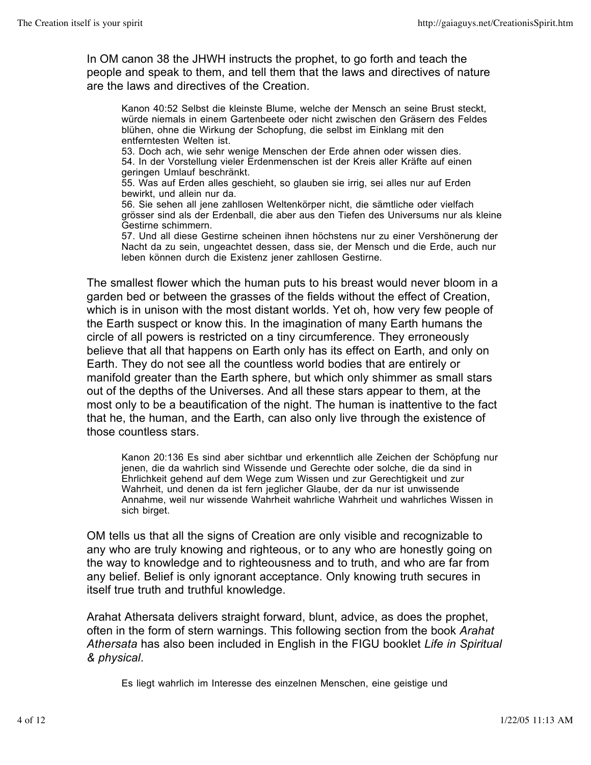In OM canon 38 the JHWH instructs the prophet, to go forth and teach the people and speak to them, and tell them that the laws and directives of nature are the laws and directives of the Creation.

Kanon 40:52 Selbst die kleinste Blume, welche der Mensch an seine Brust steckt, würde niemals in einem Gartenbeete oder nicht zwischen den Gräsern des Feldes blühen, ohne die Wirkung der Schopfung, die selbst im Einklang mit den entferntesten Welten ist.

53. Doch ach, wie sehr wenige Menschen der Erde ahnen oder wissen dies. 54. In der Vorstellung vieler Erdenmenschen ist der Kreis aller Kräfte auf einen geringen Umlauf beschränkt.

55. Was auf Erden alles geschieht, so glauben sie irrig, sei alles nur auf Erden bewirkt, und allein nur da.

56. Sie sehen all jene zahllosen Weltenkörper nicht, die sämtliche oder vielfach grösser sind als der Erdenball, die aber aus den Tiefen des Universums nur als kleine Gestirne schimmern.

57. Und all diese Gestirne scheinen ihnen höchstens nur zu einer Vershönerung der Nacht da zu sein, ungeachtet dessen, dass sie, der Mensch und die Erde, auch nur leben können durch die Existenz jener zahllosen Gestirne.

The smallest flower which the human puts to his breast would never bloom in a garden bed or between the grasses of the fields without the effect of Creation, which is in unison with the most distant worlds. Yet oh, how very few people of the Earth suspect or know this. In the imagination of many Earth humans the circle of all powers is restricted on a tiny circumference. They erroneously believe that all that happens on Earth only has its effect on Earth, and only on Earth. They do not see all the countless world bodies that are entirely or manifold greater than the Earth sphere, but which only shimmer as small stars out of the depths of the Universes. And all these stars appear to them, at the most only to be a beautification of the night. The human is inattentive to the fact that he, the human, and the Earth, can also only live through the existence of those countless stars.

Kanon 20:136 Es sind aber sichtbar und erkenntlich alle Zeichen der Schöpfung nur jenen, die da wahrlich sind Wissende und Gerechte oder solche, die da sind in Ehrlichkeit gehend auf dem Wege zum Wissen und zur Gerechtigkeit und zur Wahrheit, und denen da ist fern jeglicher Glaube, der da nur ist unwissende Annahme, weil nur wissende Wahrheit wahrliche Wahrheit und wahrliches Wissen in sich birget.

OM tells us that all the signs of Creation are only visible and recognizable to any who are truly knowing and righteous, or to any who are honestly going on the way to knowledge and to righteousness and to truth, and who are far from any belief. Belief is only ignorant acceptance. Only knowing truth secures in itself true truth and truthful knowledge.

Arahat Athersata delivers straight forward, blunt, advice, as does the prophet, often in the form of stern warnings. This following section from the book *Arahat Athersata* has also been included in English in the FIGU booklet *Life in Spiritual & physical*.

Es liegt wahrlich im Interesse des einzelnen Menschen, eine geistige und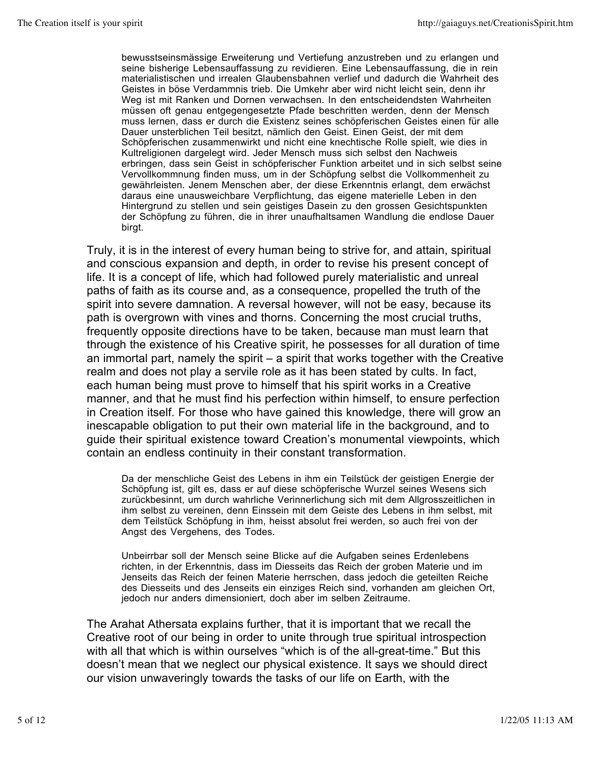bewusstseinsmässige Erweiterung und Vertiefung anzustreben und zu erlangen und seine bisherige Lebensauffassung zu revidieren. Eine Lebensauffassung, die in rein materialistischen und irrealen Glaubensbahnen verlief und dadurch die Wahrheit des Geistes in böse Verdammnis trieb. Die Umkehr aber wird nicht leicht sein, denn ihr Weg ist mit Ranken und Dornen verwachsen. In den entscheidendsten Wahrheiten müssen oft genau entgegengesetzte Pfade beschritten werden, denn der Mensch muss lernen, dass er durch die Existenz seines schöpferischen Geistes einen für alle Dauer unsterblichen Teil besitzt, nämlich den Geist. Einen Geist, der mit dem Schöpferischen zusammenwirkt und nicht eine knechtische Rolle spielt, wie dies in Kultreligionen dargelegt wird. Jeder Mensch muss sich selbst den Nachweis erbringen, dass sein Geist in schöpferischer Funktion arbeitet und in sich selbst seine Vervollkommnung finden muss, um in der Schöpfung selbst die Vollkommenheit zu gewährleisten. Jenem Menschen aber, der diese Erkenntnis erlangt, dem erwächst daraus eine unausweichbare Verpflichtung, das eigene materielle Leben in den Hintergrund zu stellen und sein geistiges Dasein zu den grossen Gesichtspunkten der Schöpfung zu führen, die in ihrer unaufhaltsamen Wandlung die endlose Dauer birgt.

Truly, it is in the interest of every human being to strive for, and attain, spiritual and conscious expansion and depth, in order to revise his present concept of life. It is a concept of life, which had followed purely materialistic and unreal paths of faith as its course and, as a consequence, propelled the truth of the spirit into severe damnation. A reversal however, will not be easy, because its path is overgrown with vines and thorns. Concerning the most crucial truths, frequently opposite directions have to be taken, because man must learn that through the existence of his Creative spirit, he possesses for all duration of time an immortal part, namely the spirit – a spirit that works together with the Creative realm and does not play a servile role as it has been stated by cults. In fact, each human being must prove to himself that his spirit works in a Creative manner, and that he must find his perfection within himself, to ensure perfection in Creation itself. For those who have gained this knowledge, there will grow an inescapable obligation to put their own material life in the background, and to guide their spiritual existence toward Creation's monumental viewpoints, which contain an endless continuity in their constant transformation.

Da der menschliche Geist des Lebens in ihm ein Teilstück der geistigen Energie der Schöpfung ist, gilt es, dass er auf diese schöpferische Wurzel seines Wesens sich zurückbesinnt, um durch wahrliche Verinnerlichung sich mit dem Allgrosszeitlichen in ihm selbst zu vereinen, denn Einssein mit dem Geiste des Lebens in ihm selbst, mit dem Teilstück Schöpfung in ihm, heisst absolut frei werden, so auch frei von der Angst des Vergehens, des Todes.

Unbeirrbar soll der Mensch seine Blicke auf die Aufgaben seines Erdenlebens richten, in der Erkenntnis, dass im Diesseits das Reich der groben Materie und im Jenseits das Reich der feinen Materie herrschen, dass jedoch die geteilten Reiche des Diesseits und des Jenseits ein einziges Reich sind, vorhanden am gleichen Ort, jedoch nur anders dimensioniert, doch aber im selben Zeitraume.

The Arahat Athersata explains further, that it is important that we recall the Creative root of our being in order to unite through true spiritual introspection with all that which is within ourselves "which is of the all-great-time." But this doesn't mean that we neglect our physical existence. It says we should direct our vision unwaveringly towards the tasks of our life on Earth, with the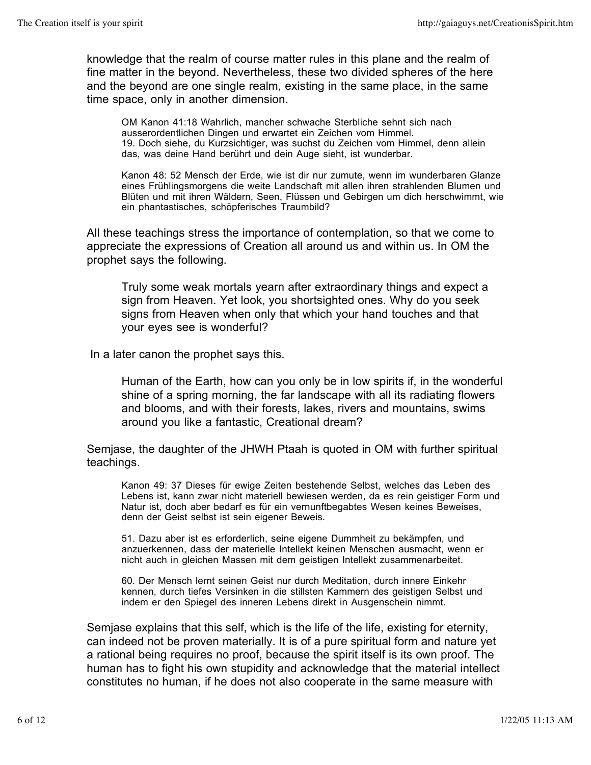knowledge that the realm of course matter rules in this plane and the realm of fine matter in the beyond. Nevertheless, these two divided spheres of the here and the beyond are one single realm, existing in the same place, in the same time space, only in another dimension.

OM Kanon 41:18 Wahrlich, mancher schwache Sterbliche sehnt sich nach ausserordentlichen Dingen und erwartet ein Zeichen vom Himmel. 19. Doch siehe, du Kurzsichtiger, was suchst du Zeichen vom Himmel, denn allein das, was deine Hand berührt und dein Auge sieht, ist wunderbar.

Kanon 48: 52 Mensch der Erde, wie ist dir nur zumute, wenn im wunderbaren Glanze eines Frühlingsmorgens die weite Landschaft mit allen ihren strahlenden Blumen und Blüten und mit ihren Wäldern, Seen, Flüssen und Gebirgen um dich herschwimmt, wie ein phantastisches, schöpferisches Traumbild?

All these teachings stress the importance of contemplation, so that we come to appreciate the expressions of Creation all around us and within us. In OM the prophet says the following.

Truly some weak mortals yearn after extraordinary things and expect a sign from Heaven. Yet look, you shortsighted ones. Why do you seek signs from Heaven when only that which your hand touches and that your eyes see is wonderful?

In a later canon the prophet says this.

Human of the Earth, how can you only be in low spirits if, in the wonderful shine of a spring morning, the far landscape with all its radiating flowers and blooms, and with their forests, lakes, rivers and mountains, swims around you like a fantastic, Creational dream?

Semjase, the daughter of the JHWH Ptaah is quoted in OM with further spiritual teachings.

Kanon 49: 37 Dieses für ewige Zeiten bestehende Selbst, welches das Leben des Lebens ist, kann zwar nicht materiell bewiesen werden, da es rein geistiger Form und Natur ist, doch aber bedarf es für ein vernunftbegabtes Wesen keines Beweises, denn der Geist selbst ist sein eigener Beweis.

51. Dazu aber ist es erforderlich, seine eigene Dummheit zu bekämpfen, und anzuerkennen, dass der materielle Intellekt keinen Menschen ausmacht, wenn er nicht auch in gleichen Massen mit dem geistigen Intellekt zusammenarbeitet.

60. Der Mensch lernt seinen Geist nur durch Meditation, durch innere Einkehr kennen, durch tiefes Versinken in die stillsten Kammern des geistigen Selbst und indem er den Spiegel des inneren Lebens direkt in Ausgenschein nimmt.

Semjase explains that this self, which is the life of the life, existing for eternity, can indeed not be proven materially. It is of a pure spiritual form and nature yet a rational being requires no proof, because the spirit itself is its own proof. The human has to fight his own stupidity and acknowledge that the material intellect constitutes no human, if he does not also cooperate in the same measure with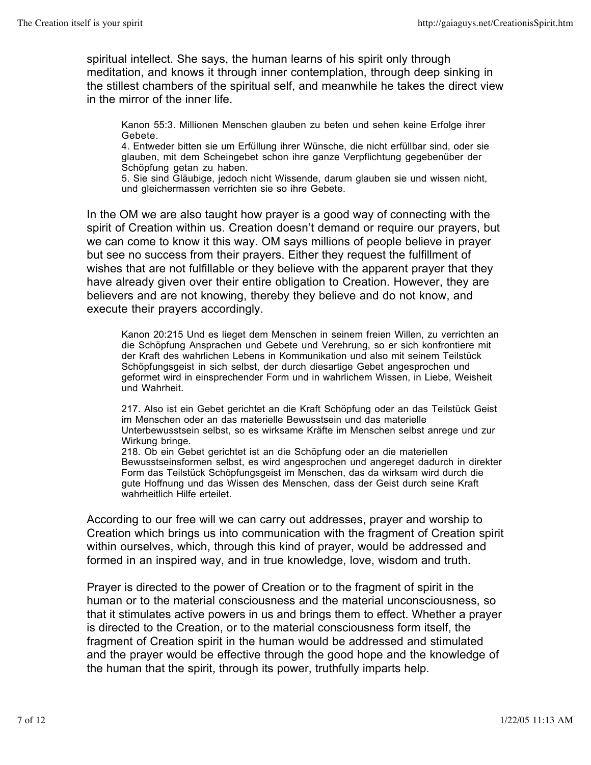spiritual intellect. She says, the human learns of his spirit only through meditation, and knows it through inner contemplation, through deep sinking in the stillest chambers of the spiritual self, and meanwhile he takes the direct view in the mirror of the inner life.

Kanon 55:3. Millionen Menschen glauben zu beten und sehen keine Erfolge ihrer Gebete.

4. Entweder bitten sie um Erfüllung ihrer Wünsche, die nicht erfüllbar sind, oder sie glauben, mit dem Scheingebet schon ihre ganze Verpflichtung gegebenüber der Schöpfung getan zu haben.

5. Sie sind Gläubige, jedoch nicht Wissende, darum glauben sie und wissen nicht, und gleichermassen verrichten sie so ihre Gebete.

In the OM we are also taught how prayer is a good way of connecting with the spirit of Creation within us. Creation doesn't demand or require our prayers, but we can come to know it this way. OM says millions of people believe in prayer but see no success from their prayers. Either they request the fulfillment of wishes that are not fulfillable or they believe with the apparent prayer that they have already given over their entire obligation to Creation. However, they are believers and are not knowing, thereby they believe and do not know, and execute their prayers accordingly.

Kanon 20:215 Und es lieget dem Menschen in seinem freien Willen, zu verrichten an die Schöpfung Ansprachen und Gebete und Verehrung, so er sich konfrontiere mit der Kraft des wahrlichen Lebens in Kommunikation und also mit seinem Teilstück Schöpfungsgeist in sich selbst, der durch diesartige Gebet angesprochen und geformet wird in einsprechender Form und in wahrlichem Wissen, in Liebe, Weisheit und Wahrheit.

217. Also ist ein Gebet gerichtet an die Kraft Schöpfung oder an das Teilstück Geist im Menschen oder an das materielle Bewusstsein und das materielle Unterbewusstsein selbst, so es wirksame Kräfte im Menschen selbst anrege und zur Wirkung bringe.

218. Ob ein Gebet gerichtet ist an die Schöpfung oder an die materiellen Bewusstseinsformen selbst, es wird angesprochen und angereget dadurch in direkter Form das Teilstück Schöpfungsgeist im Menschen, das da wirksam wird durch die gute Hoffnung und das Wissen des Menschen, dass der Geist durch seine Kraft wahrheitlich Hilfe erteilet.

According to our free will we can carry out addresses, prayer and worship to Creation which brings us into communication with the fragment of Creation spirit within ourselves, which, through this kind of prayer, would be addressed and formed in an inspired way, and in true knowledge, love, wisdom and truth.

Prayer is directed to the power of Creation or to the fragment of spirit in the human or to the material consciousness and the material unconsciousness, so that it stimulates active powers in us and brings them to effect. Whether a prayer is directed to the Creation, or to the material consciousness form itself, the fragment of Creation spirit in the human would be addressed and stimulated and the prayer would be effective through the good hope and the knowledge of the human that the spirit, through its power, truthfully imparts help.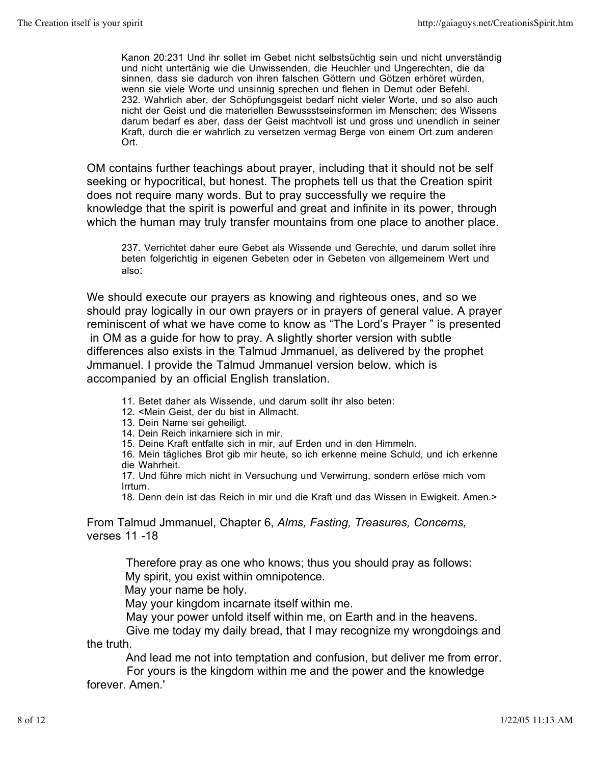Kanon 20:231 Und ihr sollet im Gebet nicht selbstsüchtig sein und nicht unverständig und nicht untertänig wie die Unwissenden, die Heuchler und Ungerechten, die da sinnen, dass sie dadurch von ihren falschen Göttern und Götzen erhöret würden, wenn sie viele Worte und unsinnig sprechen und flehen in Demut oder Befehl. 232. Wahrlich aber, der Schöpfungsgeist bedarf nicht vieler Worte, und so also auch nicht der Geist und die materiellen Bewussstseinsformen im Menschen; des Wissens darum bedarf es aber, dass der Geist machtvoll ist und gross und unendlich in seiner Kraft, durch die er wahrlich zu versetzen vermag Berge von einem Ort zum anderen Ort.

OM contains further teachings about prayer, including that it should not be self seeking or hypocritical, but honest. The prophets tell us that the Creation spirit does not require many words. But to pray successfully we require the knowledge that the spirit is powerful and great and infinite in its power, through which the human may truly transfer mountains from one place to another place.

 237. Verrichtet daher eure Gebet als Wissende und Gerechte, und darum sollet ihre beten folgerichtig in eigenen Gebeten oder in Gebeten von allgemeinem Wert und also:

We should execute our prayers as knowing and righteous ones, and so we should pray logically in our own prayers or in prayers of general value. A prayer reminiscent of what we have come to know as "The Lord's Prayer " is presented in OM as a guide for how to pray. A slightly shorter version with subtle differences also exists in the Talmud Jmmanuel, as delivered by the prophet Jmmanuel. I provide the Talmud Jmmanuel version below, which is accompanied by an official English translation.

- 11. Betet daher als Wissende, und darum sollt ihr also beten:
- 12. <Mein Geist, der du bist in Allmacht.
- 13. Dein Name sei geheiligt.
- 14. Dein Reich inkarniere sich in mir.
- 15. Deine Kraft entfalte sich in mir, auf Erden und in den Himmeln.

16. Mein tägliches Brot gib mir heute, so ich erkenne meine Schuld, und ich erkenne die Wahrheit.

17. Und führe mich nicht in Versuchung und Verwirrung, sondern erlöse mich vom Irrtum.

18. Denn dein ist das Reich in mir und die Kraft und das Wissen in Ewigkeit. Amen.>

From Talmud Jmmanuel, Chapter 6, *Alms, Fasting, Treasures, Concerns,*  verses 11 -18

> Therefore pray as one who knows; thus you should pray as follows: My spirit, you exist within omnipotence.

May your name be holy.

May your kingdom incarnate itself within me.

May your power unfold itself within me, on Earth and in the heavens.

 Give me today my daily bread, that I may recognize my wrongdoings and the truth.

And lead me not into temptation and confusion, but deliver me from error.

 For yours is the kingdom within me and the power and the knowledge forever. Amen.'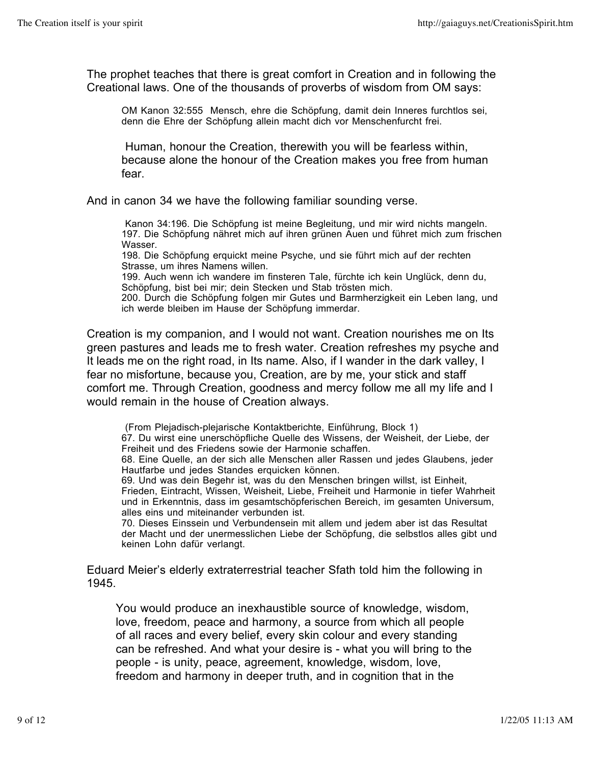The prophet teaches that there is great comfort in Creation and in following the Creational laws. One of the thousands of proverbs of wisdom from OM says:

OM Kanon 32:555 Mensch, ehre die Schöpfung, damit dein Inneres furchtlos sei, denn die Ehre der Schöpfung allein macht dich vor Menschenfurcht frei.

Human, honour the Creation, therewith you will be fearless within, because alone the honour of the Creation makes you free from human fear.

And in canon 34 we have the following familiar sounding verse.

Kanon 34:196. Die Schöpfung ist meine Begleitung, und mir wird nichts mangeln. 197. Die Schöpfung nähret mich auf ihren grünen Auen und führet mich zum frischen Wasser.

198. Die Schöpfung erquickt meine Psyche, und sie führt mich auf der rechten Strasse, um ihres Namens willen.

199. Auch wenn ich wandere im finsteren Tale, fürchte ich kein Unglück, denn du, Schöpfung, bist bei mir; dein Stecken und Stab trösten mich.

200. Durch die Schöpfung folgen mir Gutes und Barmherzigkeit ein Leben lang, und ich werde bleiben im Hause der Schöpfung immerdar.

Creation is my companion, and I would not want. Creation nourishes me on Its green pastures and leads me to fresh water. Creation refreshes my psyche and It leads me on the right road, in Its name. Also, if I wander in the dark valley, I fear no misfortune, because you, Creation, are by me, your stick and staff comfort me. Through Creation, goodness and mercy follow me all my life and I would remain in the house of Creation always.

(From Plejadisch-plejarische Kontaktberichte, Einführung, Block 1)

67. Du wirst eine unerschöpfliche Quelle des Wissens, der Weisheit, der Liebe, der Freiheit und des Friedens sowie der Harmonie schaffen.

68. Eine Quelle, an der sich alle Menschen aller Rassen und jedes Glaubens, jeder Hautfarbe und jedes Standes erquicken können.

69. Und was dein Begehr ist, was du den Menschen bringen willst, ist Einheit, Frieden, Eintracht, Wissen, Weisheit, Liebe, Freiheit und Harmonie in tiefer Wahrheit und in Erkenntnis, dass im gesamtschöpferischen Bereich, im gesamten Universum, alles eins und miteinander verbunden ist.

70. Dieses Einssein und Verbundensein mit allem und jedem aber ist das Resultat der Macht und der unermesslichen Liebe der Schöpfung, die selbstlos alles gibt und keinen Lohn dafür verlangt.

Eduard Meier's elderly extraterrestrial teacher Sfath told him the following in 1945.

You would produce an inexhaustible source of knowledge, wisdom, love, freedom, peace and harmony, a source from which all people of all races and every belief, every skin colour and every standing can be refreshed. And what your desire is - what you will bring to the people - is unity, peace, agreement, knowledge, wisdom, love, freedom and harmony in deeper truth, and in cognition that in the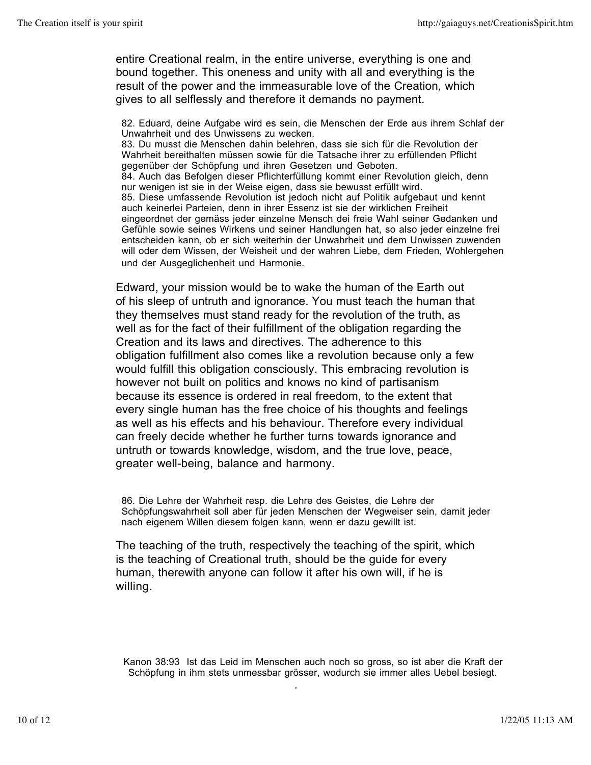entire Creational realm, in the entire universe, everything is one and bound together. This oneness and unity with all and everything is the result of the power and the immeasurable love of the Creation, which gives to all selflessly and therefore it demands no payment.

82. Eduard, deine Aufgabe wird es sein, die Menschen der Erde aus ihrem Schlaf der Unwahrheit und des Unwissens zu wecken. 83. Du musst die Menschen dahin belehren, dass sie sich für die Revolution der Wahrheit bereithalten müssen sowie für die Tatsache ihrer zu erfüllenden Pflicht gegenüber der Schöpfung und ihren Gesetzen und Geboten. 84. Auch das Befolgen dieser Pflichterfüllung kommt einer Revolution gleich, denn nur wenigen ist sie in der Weise eigen, dass sie bewusst erfüllt wird. 85. Diese umfassende Revolution ist jedoch nicht auf Politik aufgebaut und kennt auch keinerlei Parteien, denn in ihrer Essenz ist sie der wirklichen Freiheit eingeordnet der gemäss jeder einzelne Mensch dei freie Wahl seiner Gedanken und Gefühle sowie seines Wirkens und seiner Handlungen hat, so also jeder einzelne frei entscheiden kann, ob er sich weiterhin der Unwahrheit und dem Unwissen zuwenden will oder dem Wissen, der Weisheit und der wahren Liebe, dem Frieden, Wohlergehen und der Ausgeglichenheit und Harmonie.

Edward, your mission would be to wake the human of the Earth out of his sleep of untruth and ignorance. You must teach the human that they themselves must stand ready for the revolution of the truth, as well as for the fact of their fulfillment of the obligation regarding the Creation and its laws and directives. The adherence to this obligation fulfillment also comes like a revolution because only a few would fulfill this obligation consciously. This embracing revolution is however not built on politics and knows no kind of partisanism because its essence is ordered in real freedom, to the extent that every single human has the free choice of his thoughts and feelings as well as his effects and his behaviour. Therefore every individual can freely decide whether he further turns towards ignorance and untruth or towards knowledge, wisdom, and the true love, peace, greater well-being, balance and harmony.

86. Die Lehre der Wahrheit resp. die Lehre des Geistes, die Lehre der Schöpfungswahrheit soll aber für jeden Menschen der Wegweiser sein, damit jeder nach eigenem Willen diesem folgen kann, wenn er dazu gewillt ist.

The teaching of the truth, respectively the teaching of the spirit, which is the teaching of Creational truth, should be the guide for every human, therewith anyone can follow it after his own will, if he is willing.

Kanon 38:93 Ist das Leid im Menschen auch noch so gross, so ist aber die Kraft der Schöpfung in ihm stets unmessbar grösser, wodurch sie immer alles Uebel besiegt.

.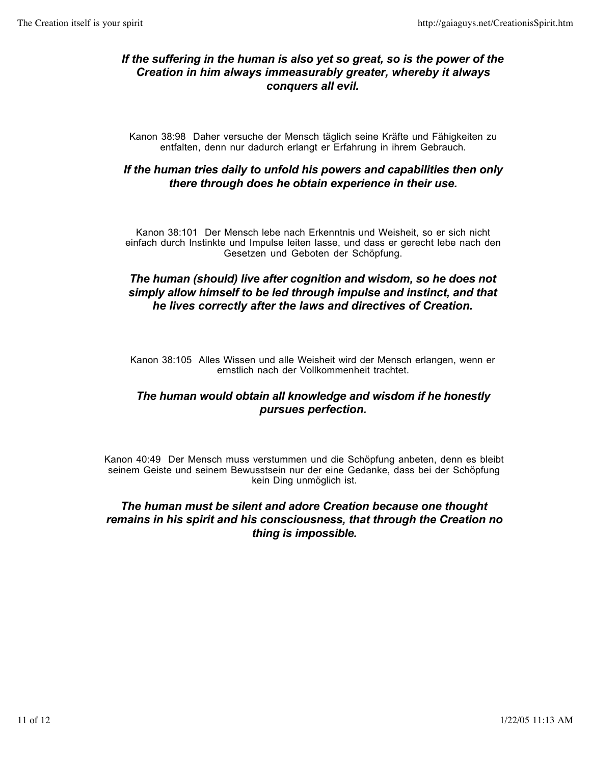#### *If the suffering in the human is also yet so great, so is the power of the Creation in him always immeasurably greater, whereby it always conquers all evil.*

Kanon 38:98 Daher versuche der Mensch täglich seine Kräfte und Fähigkeiten zu entfalten, denn nur dadurch erlangt er Erfahrung in ihrem Gebrauch.

#### *If the human tries daily to unfold his powers and capabilities then only there through does he obtain experience in their use.*

Kanon 38:101 Der Mensch lebe nach Erkenntnis und Weisheit, so er sich nicht einfach durch Instinkte und Impulse leiten lasse, und dass er gerecht lebe nach den Gesetzen und Geboten der Schöpfung.

#### *The human (should) live after cognition and wisdom, so he does not simply allow himself to be led through impulse and instinct, and that he lives correctly after the laws and directives of Creation.*

Kanon 38:105 Alles Wissen und alle Weisheit wird der Mensch erlangen, wenn er ernstlich nach der Vollkommenheit trachtet.

#### *The human would obtain all knowledge and wisdom if he honestly pursues perfection.*

Kanon 40:49 Der Mensch muss verstummen und die Schöpfung anbeten, denn es bleibt seinem Geiste und seinem Bewusstsein nur der eine Gedanke, dass bei der Schöpfung kein Ding unmöglich ist.

#### *The human must be silent and adore Creation because one thought remains in his spirit and his consciousness, that through the Creation no thing is impossible.*